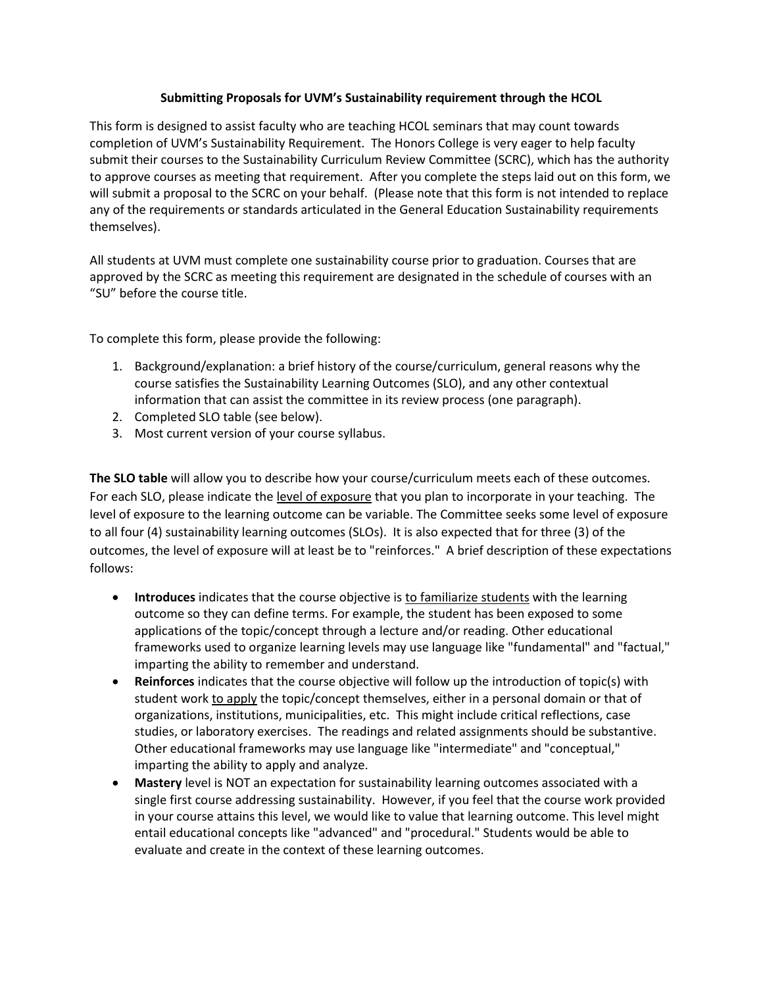## **Submitting Proposals for UVM's Sustainability requirement through the HCOL**

This form is designed to assist faculty who are teaching HCOL seminars that may count towards completion of UVM's Sustainability Requirement. The Honors College is very eager to help faculty submit their courses to the Sustainability Curriculum Review Committee (SCRC), which has the authority to approve courses as meeting that requirement. After you complete the steps laid out on this form, we will submit a proposal to the SCRC on your behalf. (Please note that this form is not intended to replace any of the requirements or standards articulated in the General Education Sustainability requirements themselves).

All students at UVM must complete one sustainability course prior to graduation. Courses that are approved by the SCRC as meeting this requirement are designated in the schedule of courses with an "SU" before the course title.

To complete this form, please provide the following:

- 1. Background/explanation: a brief history of the course/curriculum, general reasons why the course satisfies the Sustainability Learning Outcomes (SLO), and any other contextual information that can assist the committee in its review process (one paragraph).
- 2. Completed SLO table (see below).
- 3. Most current version of your course syllabus.

**The SLO table** will allow you to describe how your course/curriculum meets each of these outcomes. For each SLO, please indicate the level of exposure that you plan to incorporate in your teaching. The level of exposure to the learning outcome can be variable. The Committee seeks some level of exposure to all four (4) sustainability learning outcomes (SLOs). It is also expected that for three (3) of the outcomes, the level of exposure will at least be to "reinforces." A brief description of these expectations follows:

- **Introduces** indicates that the course objective is to familiarize students with the learning outcome so they can define terms. For example, the student has been exposed to some applications of the topic/concept through a lecture and/or reading. Other educational frameworks used to organize learning levels may use language like "fundamental" and "factual," imparting the ability to remember and understand.
- **Reinforces** indicates that the course objective will follow up the introduction of topic(s) with student work to apply the topic/concept themselves, either in a personal domain or that of organizations, institutions, municipalities, etc. This might include critical reflections, case studies, or laboratory exercises. The readings and related assignments should be substantive. Other educational frameworks may use language like "intermediate" and "conceptual," imparting the ability to apply and analyze.
- **Mastery** level is NOT an expectation for sustainability learning outcomes associated with a single first course addressing sustainability. However, if you feel that the course work provided in your course attains this level, we would like to value that learning outcome. This level might entail educational concepts like "advanced" and "procedural." Students would be able to evaluate and create in the context of these learning outcomes.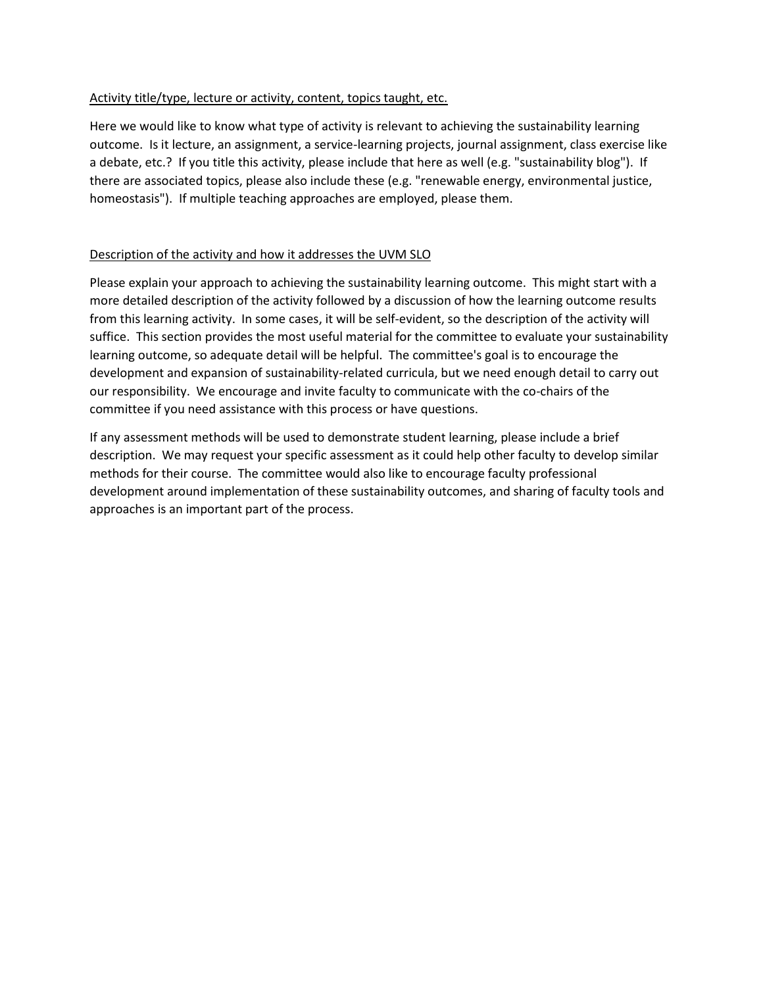## Activity title/type, lecture or activity, content, topics taught, etc.

Here we would like to know what type of activity is relevant to achieving the sustainability learning outcome. Is it lecture, an assignment, a service-learning projects, journal assignment, class exercise like a debate, etc.? If you title this activity, please include that here as well (e.g. "sustainability blog"). If there are associated topics, please also include these (e.g. "renewable energy, environmental justice, homeostasis"). If multiple teaching approaches are employed, please them.

## Description of the activity and how it addresses the UVM SLO

Please explain your approach to achieving the sustainability learning outcome. This might start with a more detailed description of the activity followed by a discussion of how the learning outcome results from this learning activity. In some cases, it will be self-evident, so the description of the activity will suffice. This section provides the most useful material for the committee to evaluate your sustainability learning outcome, so adequate detail will be helpful. The committee's goal is to encourage the development and expansion of sustainability-related curricula, but we need enough detail to carry out our responsibility. We encourage and invite faculty to communicate with the co-chairs of the committee if you need assistance with this process or have questions.

If any assessment methods will be used to demonstrate student learning, please include a brief description. We may request your specific assessment as it could help other faculty to develop similar methods for their course. The committee would also like to encourage faculty professional development around implementation of these sustainability outcomes, and sharing of faculty tools and approaches is an important part of the process.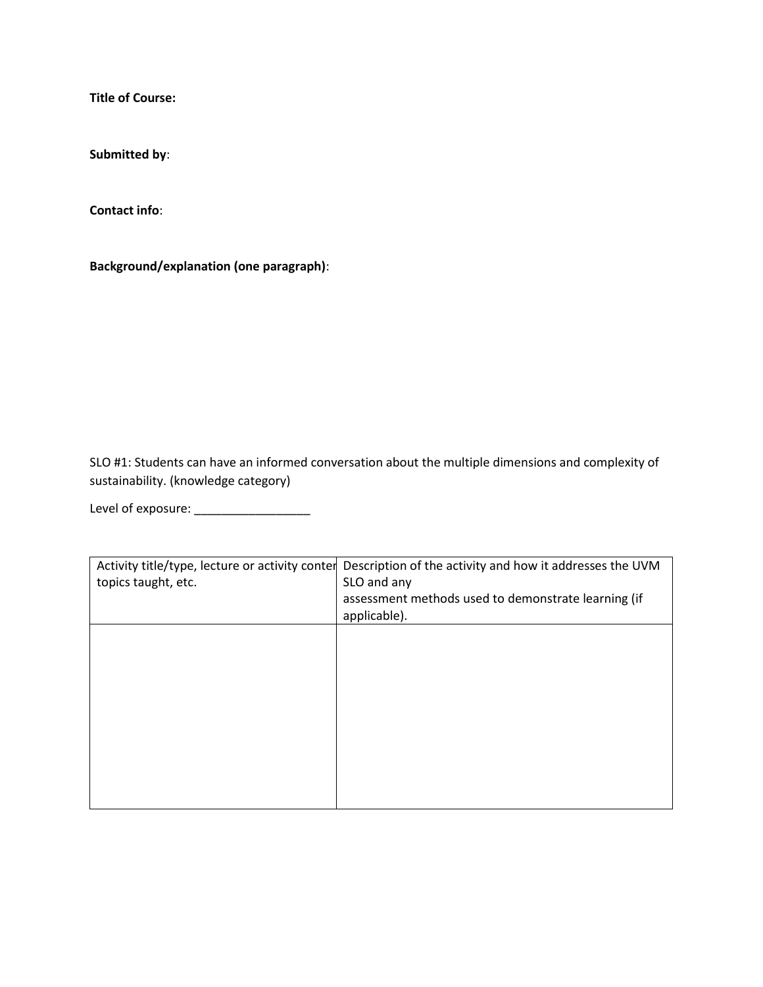**Title of Course:** 

**Submitted by**:

**Contact info**:

**Background/explanation (one paragraph)**:

SLO #1: Students can have an informed conversation about the multiple dimensions and complexity of sustainability. (knowledge category)

Level of exposure: \_\_\_\_\_\_\_\_\_\_\_\_\_\_\_\_\_

| topics taught, etc. | Activity title/type, lecture or activity conter Description of the activity and how it addresses the UVM<br>SLO and any<br>assessment methods used to demonstrate learning (if<br>applicable). |
|---------------------|------------------------------------------------------------------------------------------------------------------------------------------------------------------------------------------------|
|                     |                                                                                                                                                                                                |
|                     |                                                                                                                                                                                                |
|                     |                                                                                                                                                                                                |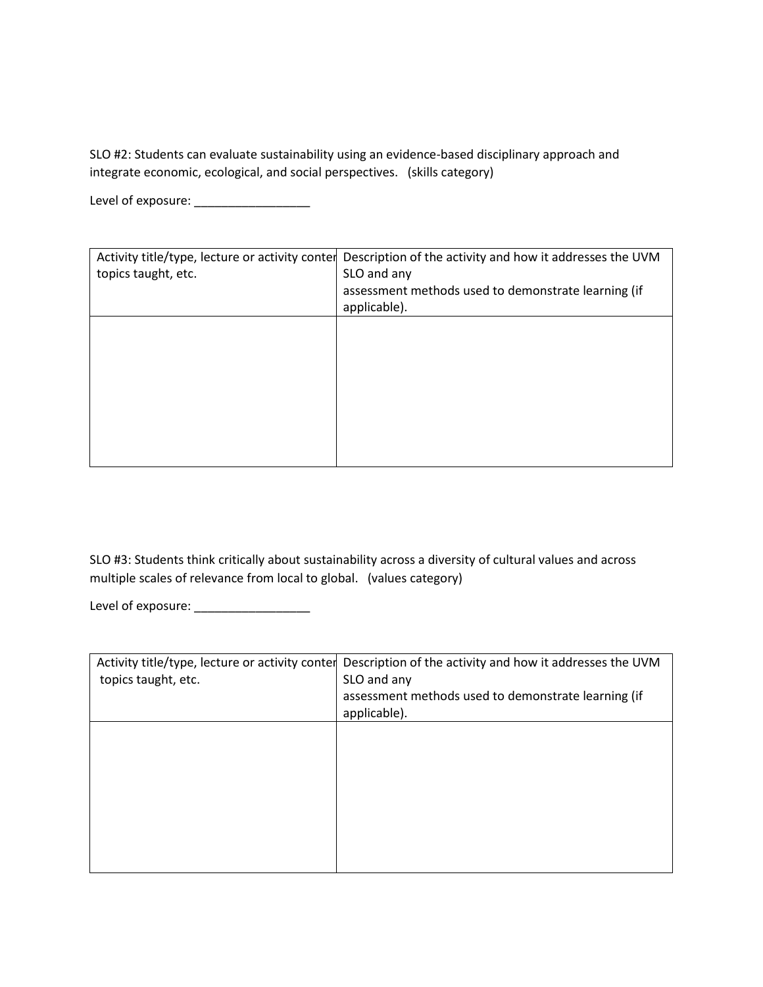SLO #2: Students can evaluate sustainability using an evidence-based disciplinary approach and integrate economic, ecological, and social perspectives. (skills category)

Level of exposure: \_\_\_\_\_\_\_\_\_\_\_\_\_\_\_\_\_\_\_\_\_\_

| Activity title/type, lecture or activity conter<br>topics taught, etc. | Description of the activity and how it addresses the UVM<br>SLO and any<br>assessment methods used to demonstrate learning (if<br>applicable). |
|------------------------------------------------------------------------|------------------------------------------------------------------------------------------------------------------------------------------------|
|                                                                        |                                                                                                                                                |
|                                                                        |                                                                                                                                                |

SLO #3: Students think critically about sustainability across a diversity of cultural values and across multiple scales of relevance from local to global. (values category)

Level of exposure: \_\_\_\_\_\_\_\_\_\_\_\_\_\_\_\_\_

|                     | Activity title/type, lecture or activity conter Description of the activity and how it addresses the UVM |
|---------------------|----------------------------------------------------------------------------------------------------------|
| topics taught, etc. | SLO and any                                                                                              |
|                     | assessment methods used to demonstrate learning (if                                                      |
|                     | applicable).                                                                                             |
|                     |                                                                                                          |
|                     |                                                                                                          |
|                     |                                                                                                          |
|                     |                                                                                                          |
|                     |                                                                                                          |
|                     |                                                                                                          |
|                     |                                                                                                          |
|                     |                                                                                                          |
|                     |                                                                                                          |